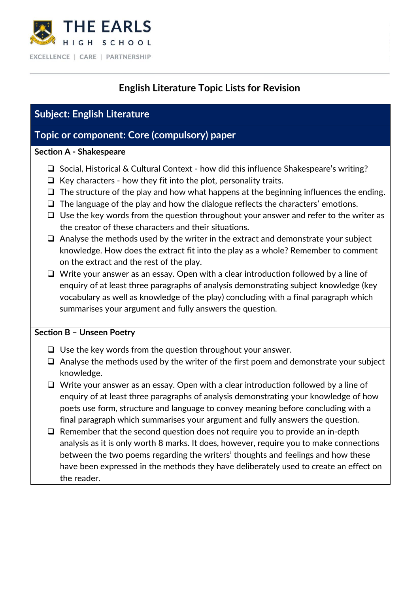

# **English Literature Topic Lists for Revision**

## **Subject: English Literature**

### **Topic or component: Core (compulsory) paper**

#### **Section A - Shakespeare**

- ❑ Social, Historical & Cultural Context how did this influence Shakespeare's writing?
- $\Box$  Key characters how they fit into the plot, personality traits.
- $\Box$  The structure of the play and how what happens at the beginning influences the ending.
- ❑ The language of the play and how the dialogue reflects the characters' emotions.
- ❑ Use the key words from the question throughout your answer and refer to the writer as the creator of these characters and their situations.
- ❑ Analyse the methods used by the writer in the extract and demonstrate your subject knowledge. How does the extract fit into the play as a whole? Remember to comment on the extract and the rest of the play.
- ❑ Write your answer as an essay. Open with a clear introduction followed by a line of enquiry of at least three paragraphs of analysis demonstrating subject knowledge (key vocabulary as well as knowledge of the play) concluding with a final paragraph which summarises your argument and fully answers the question.

### **Section B – Unseen Poetry**

- ❑ Use the key words from the question throughout your answer.
- ❑ Analyse the methods used by the writer of the first poem and demonstrate your subject knowledge.
- ❑ Write your answer as an essay. Open with a clear introduction followed by a line of enquiry of at least three paragraphs of analysis demonstrating your knowledge of how poets use form, structure and language to convey meaning before concluding with a final paragraph which summarises your argument and fully answers the question.
- ❑ Remember that the second question does not require you to provide an in-depth analysis as it is only worth 8 marks. It does, however, require you to make connections between the two poems regarding the writers' thoughts and feelings and how these have been expressed in the methods they have deliberately used to create an effect on the reader.